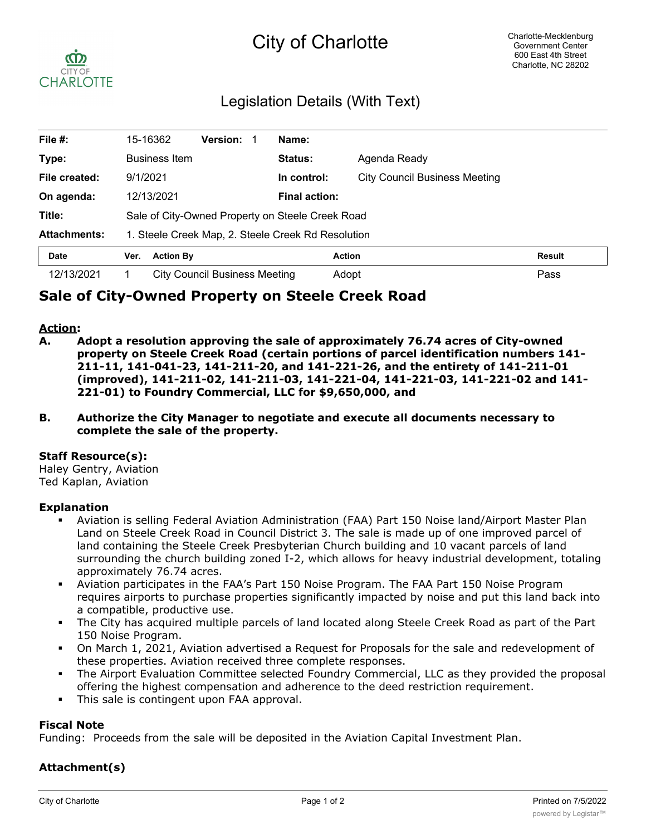# City of Charlotte



# Legislation Details (With Text)

| File $#$ :          | 15-16362                                           | <b>Version:</b>               | Name:                |                                      |               |
|---------------------|----------------------------------------------------|-------------------------------|----------------------|--------------------------------------|---------------|
| Type:               | <b>Business Item</b>                               |                               | Status:              | Agenda Ready                         |               |
| File created:       | 9/1/2021                                           |                               | In control:          | <b>City Council Business Meeting</b> |               |
| On agenda:          | 12/13/2021                                         |                               | <b>Final action:</b> |                                      |               |
| Title:              | Sale of City-Owned Property on Steele Creek Road   |                               |                      |                                      |               |
| <b>Attachments:</b> | 1. Steele Creek Map, 2. Steele Creek Rd Resolution |                               |                      |                                      |               |
| <b>Date</b>         | <b>Action By</b><br>Ver.                           |                               | <b>Action</b>        |                                      | <b>Result</b> |
| 12/13/2021          |                                                    | City Council Business Meeting | Adopt                |                                      | Pass          |

# **Sale of City-Owned Property on Steele Creek Road**

#### **Action:**

- **A. Adopt a resolution approving the sale of approximately 76.74 acres of City-owned property on Steele Creek Road (certain portions of parcel identification numbers 141- 211-11, 141-041-23, 141-211-20, and 141-221-26, and the entirety of 141-211-01 (improved), 141-211-02, 141-211-03, 141-221-04, 141-221-03, 141-221-02 and 141- 221-01) to Foundry Commercial, LLC for \$9,650,000, and**
- **B. Authorize the City Manager to negotiate and execute all documents necessary to complete the sale of the property.**

#### **Staff Resource(s):**

Haley Gentry, Aviation Ted Kaplan, Aviation

#### **Explanation**

- § Aviation is selling Federal Aviation Administration (FAA) Part 150 Noise land/Airport Master Plan Land on Steele Creek Road in Council District 3. The sale is made up of one improved parcel of land containing the Steele Creek Presbyterian Church building and 10 vacant parcels of land surrounding the church building zoned I-2, which allows for heavy industrial development, totaling approximately 76.74 acres.
- § Aviation participates in the FAA's Part 150 Noise Program. The FAA Part 150 Noise Program requires airports to purchase properties significantly impacted by noise and put this land back into a compatible, productive use.
- § The City has acquired multiple parcels of land located along Steele Creek Road as part of the Part 150 Noise Program.
- § On March 1, 2021, Aviation advertised a Request for Proposals for the sale and redevelopment of these properties. Aviation received three complete responses.
- § The Airport Evaluation Committee selected Foundry Commercial, LLC as they provided the proposal offering the highest compensation and adherence to the deed restriction requirement.
- **•** This sale is contingent upon FAA approval.

## **Fiscal Note**

Funding: Proceeds from the sale will be deposited in the Aviation Capital Investment Plan.

## **Attachment(s)**